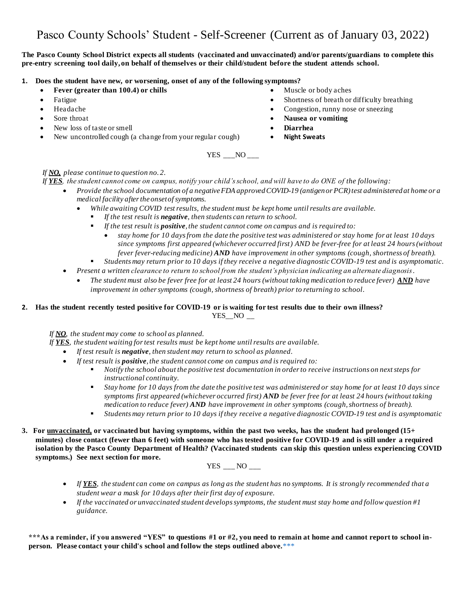# Pasco County Schools' Student - Self-Screener (Current as of January 03, 2022)

#### **The Pasco County School District expects all students (vaccinated and unvaccinated) and/or parents/guardians to complete this pre-entry screening tool daily, on behalf of themselves or their child/student before the student attends school.**

#### **1. Does the student have new, or worsening, onset of any of the following symptoms?**

- **Fever (greater than 100.4) or chills** Muscle or body aches
- 
- 
- 
- New loss of taste or smell  **Diarrhea**
- New uncontrolled cough (a change from your regular cough) **Night Sweats**
- 
- Fatigue Shortness of breath or difficulty breathing
- Headache Congestion, runny nose or sneezing
	- **Sore throat Nausea or vomiting** 
		-
		-

YES NO

### *If NO, please continue to question no. 2.*

*If YES, the student cannot come on campus, notify your child's school, and will have to do ONE of the following:*

- *Provide the school documentation of a negativeFDA approved COVID-19 (antigen or PCR) test administered at home or a medical facility after the onset of symptoms.*
	- *While awaiting COVID test results, the student must be kept home until results are available.*
		- *If the test result is negative, then students can return to school.*
		- *If the test result is positive, the student cannot come on campus and is required to:*
			- *stay home for 10 days from the date the positive test was administered or stay home for at least 10 days since symptoms first appeared (whichever occurred first) AND be fever-free for at least 24 hours (without fever fever-reducing medicine) AND have improvement in other symptoms (cough, shortness of breath).*
		- *Students may return prior to 10 days if they receive a negative diagnostic COVID-19 test and is asymptomatic.*
- *Present a written clearance to return to school from the student's physician indicating an alternate diagnosis*.
	- *The student must also be fever free for at least 24 hours (without taking medication to reduce fever) AND have improvement in other symptoms (cough, shortness of breath) prior to returning to school.*

### **2. Has the student recently tested positive for COVID-19 or is waiting for test results due to their own illness?**  $YES\_NO$  \_\_

*If NO, the student may come to school as planned.*

*If YES, the student waiting for test results must be kept home until results are available.*

- *If test result is negative, then student may return to school as planned.*
- *If test result is positive, the student cannot come on campus and is required to:*
	- *Notify the school about the positive test documentation in order to receive instructions on next steps for instructional continuity.*
	- *Stay home for 10 days from the date the positive test was administered or stay home for at least 10 days since symptoms first appeared (whichever occurred first) AND be fever free for at least 24 hours (without taking medication to reduce fever) AND have improvement in other symptoms (cough, shortness of breath).*
	- *Students may return prior to 10 days if they receive a negative diagnostic COVID-19 test and is asymptomatic*
- **3. For unvaccinated, or vaccinated but having symptoms, within the past two weeks, has the student had prolonged (15+ minutes) close contact (fewer than 6 feet) with someone who has tested positive for COVID-19 and is still under a required isolation by the Pasco County Department of Health? (Vaccinated students can skip this question unless experiencing COVID symptoms.) See next section for more.**



- *If YES, the student can come on campus as long as the student has no symptoms. It is strongly recommended that a student wear a mask for 10 days after their first day of exposure.*
- *If the vaccinated or unvaccinated student develops symptoms, the student must stay home and follow question #1 guidance.*

**\*\*\*As a reminder, if you answered "YES" to questions #1 or #2, you need to remain at home and cannot report to school inperson. Please contact your child's school and follow the steps outlined above.**\*\*\*